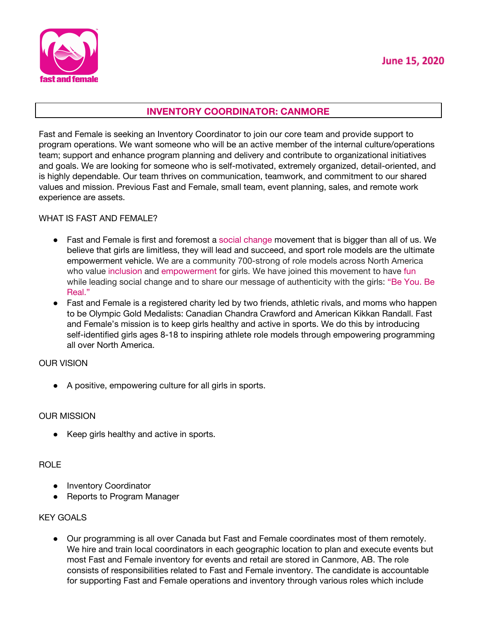

# **INVENTORY COORDINATOR: CANMORE**

Fast and Female is seeking an Inventory Coordinator to join our core team and provide support to program operations. We want someone who will be an active member of the internal culture/operations team; support and enhance program planning and delivery and contribute to organizational initiatives and goals. We are looking for someone who is self-motivated, extremely organized, detail-oriented, and is highly dependable. Our team thrives on communication, teamwork, and commitment to our shared values and mission. Previous Fast and Female, small team, event planning, sales, and remote work experience are assets.

#### WHAT IS FAST AND FEMALE?

- Fast and Female is first and foremost a social change movement that is bigger than all of us. We believe that girls are limitless, they will lead and succeed, and sport role models are the ultimate empowerment vehicle. We are a community 700-strong of role models across North America who value inclusion and empowerment for girls. We have joined this movement to have fun while leading social change and to share our message of authenticity with the girls: "Be You. Be Real."
- Fast and Female is a registered charity led by two friends, athletic rivals, and moms who happen to be Olympic Gold Medalists: Canadian Chandra Crawford and American Kikkan Randall. Fast and Female's mission is to keep girls healthy and active in sports. We do this by introducing self-identified girls ages 8-18 to inspiring athlete role models through empowering programming all over North America.

## OUR VISION

● A positive, empowering culture for all girls in sports.

## OUR MISSION

● Keep girls healthy and active in sports.

## ROLE

- Inventory Coordinator
- Reports to Program Manager

## KEY GOALS

● Our programming is all over Canada but Fast and Female coordinates most of them remotely. We hire and train local coordinators in each geographic location to plan and execute events but most Fast and Female inventory for events and retail are stored in Canmore, AB. The role consists of responsibilities related to Fast and Female inventory. The candidate is accountable for supporting Fast and Female operations and inventory through various roles which include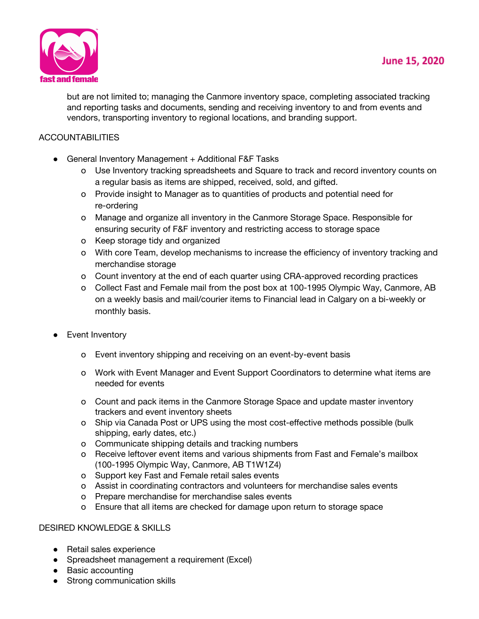

but are not limited to; managing the Canmore inventory space, completing associated tracking and reporting tasks and documents, sending and receiving inventory to and from events and vendors, transporting inventory to regional locations, and branding support.

# **ACCOUNTABILITIES**

- General Inventory Management + Additional F&F Tasks
	- o Use Inventory tracking spreadsheets and Square to track and record inventory counts on a regular basis as items are shipped, received, sold, and gifted.
	- o Provide insight to Manager as to quantities of products and potential need for re-ordering
	- o Manage and organize all inventory in the Canmore Storage Space. Responsible for ensuring security of F&F inventory and restricting access to storage space
	- o Keep storage tidy and organized
	- o With core Team, develop mechanisms to increase the efficiency of inventory tracking and merchandise storage
	- o Count inventory at the end of each quarter using CRA-approved recording practices
	- o Collect Fast and Female mail from the post box at 100-1995 Olympic Way, Canmore, AB on a weekly basis and mail/courier items to Financial lead in Calgary on a bi-weekly or monthly basis.
- Event Inventory
	- o Event inventory shipping and receiving on an event-by-event basis
	- o Work with Event Manager and Event Support Coordinators to determine what items are needed for events
	- o Count and pack items in the Canmore Storage Space and update master inventory trackers and event inventory sheets
	- o Ship via Canada Post or UPS using the most cost-effective methods possible (bulk shipping, early dates, etc.)
	- o Communicate shipping details and tracking numbers
	- o Receive leftover event items and various shipments from Fast and Female's mailbox (100-1995 Olympic Way, Canmore, AB T1W1Z4)
	- o Support key Fast and Female retail sales events
	- o Assist in coordinating contractors and volunteers for merchandise sales events
	- o Prepare merchandise for merchandise sales events
	- o Ensure that all items are checked for damage upon return to storage space

## DESIRED KNOWLEDGE & SKILLS

- Retail sales experience
- Spreadsheet management a requirement (Excel)
- Basic accounting
- Strong communication skills